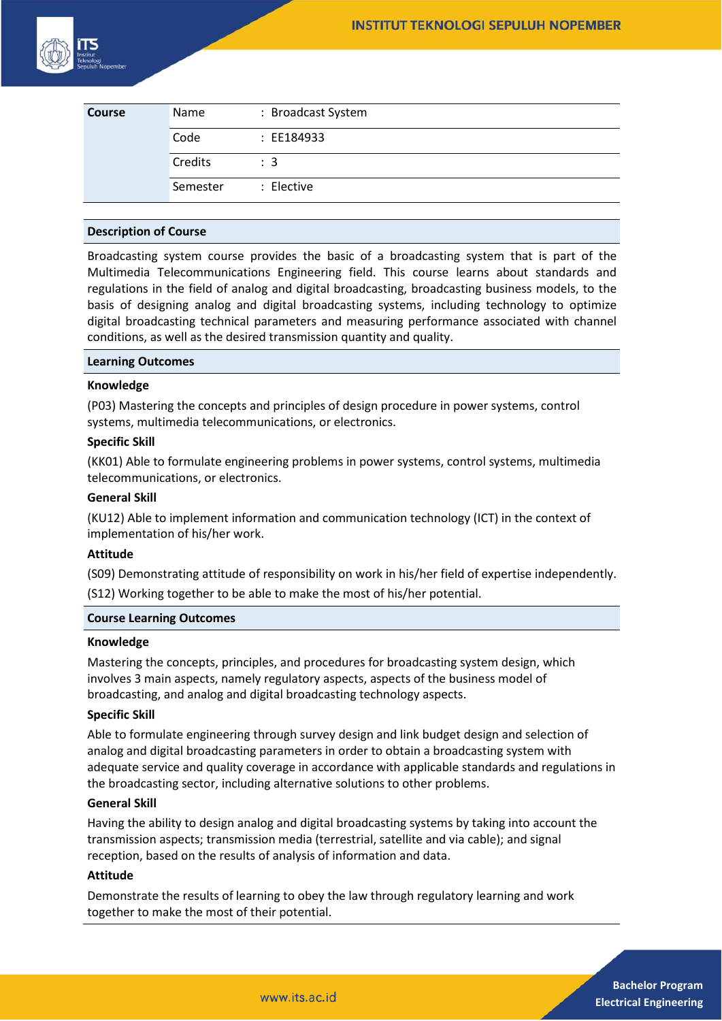

| <b>Course</b> | Name     | : Broadcast System |
|---------------|----------|--------------------|
|               | Code     | : EE184933         |
|               | Credits  | $\therefore$ 3     |
|               | Semester | : Elective         |

#### **Description of Course**

Broadcasting system course provides the basic of a broadcasting system that is part of the Multimedia Telecommunications Engineering field. This course learns about standards and regulations in the field of analog and digital broadcasting, broadcasting business models, to the basis of designing analog and digital broadcasting systems, including technology to optimize digital broadcasting technical parameters and measuring performance associated with channel conditions, as well as the desired transmission quantity and quality.

#### **Learning Outcomes**

#### **Knowledge**

(P03) Mastering the concepts and principles of design procedure in power systems, control systems, multimedia telecommunications, or electronics.

#### **Specific Skill**

(KK01) Able to formulate engineering problems in power systems, control systems, multimedia telecommunications, or electronics.

## **General Skill**

(KU12) Able to implement information and communication technology (ICT) in the context of implementation of his/her work.

#### **Attitude**

(S09) Demonstrating attitude of responsibility on work in his/her field of expertise independently. (S12) Working together to be able to make the most of his/her potential.

#### **Course Learning Outcomes**

#### **Knowledge**

Mastering the concepts, principles, and procedures for broadcasting system design, which involves 3 main aspects, namely regulatory aspects, aspects of the business model of broadcasting, and analog and digital broadcasting technology aspects.

#### **Specific Skill**

Able to formulate engineering through survey design and link budget design and selection of analog and digital broadcasting parameters in order to obtain a broadcasting system with adequate service and quality coverage in accordance with applicable standards and regulations in the broadcasting sector, including alternative solutions to other problems.

### **General Skill**

Having the ability to design analog and digital broadcasting systems by taking into account the transmission aspects; transmission media (terrestrial, satellite and via cable); and signal reception, based on the results of analysis of information and data.

## **Attitude**

Demonstrate the results of learning to obey the law through regulatory learning and work together to make the most of their potential.